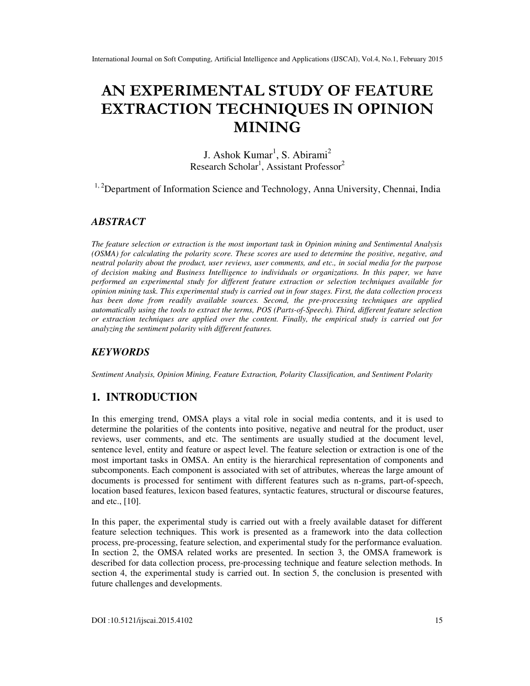# **AN EXPERIMENTAL STUDY OF FEATURE EXTRACTION TECHNIQUES IN OPINION MINING**

J. Ashok  $Kumar<sup>1</sup>$ , S. Abirami<sup>2</sup> Research Scholar<sup>1</sup>, Assistant Professor<sup>2</sup>

<sup>1, 2</sup>Department of Information Science and Technology, Anna University, Chennai, India

# *ABSTRACT*

*The feature selection or extraction is the most important task in Opinion mining and Sentimental Analysis (OSMA) for calculating the polarity score. These scores are used to determine the positive, negative, and neutral polarity about the product, user reviews, user comments, and etc., in social media for the purpose of decision making and Business Intelligence to individuals or organizations. In this paper, we have performed an experimental study for different feature extraction or selection techniques available for opinion mining task. This experimental study is carried out in four stages. First, the data collection process has been done from readily available sources. Second, the pre-processing techniques are applied automatically using the tools to extract the terms, POS (Parts-of-Speech). Third, different feature selection or extraction techniques are applied over the content. Finally, the empirical study is carried out for analyzing the sentiment polarity with different features.* 

# *KEYWORDS*

*Sentiment Analysis, Opinion Mining, Feature Extraction, Polarity Classification, and Sentiment Polarity* 

# **1. INTRODUCTION**

In this emerging trend, OMSA plays a vital role in social media contents, and it is used to determine the polarities of the contents into positive, negative and neutral for the product, user reviews, user comments, and etc. The sentiments are usually studied at the document level, sentence level, entity and feature or aspect level. The feature selection or extraction is one of the most important tasks in OMSA. An entity is the hierarchical representation of components and subcomponents. Each component is associated with set of attributes, whereas the large amount of documents is processed for sentiment with different features such as n-grams, part-of-speech, location based features, lexicon based features, syntactic features, structural or discourse features, and etc., [10].

In this paper, the experimental study is carried out with a freely available dataset for different feature selection techniques. This work is presented as a framework into the data collection process, pre-processing, feature selection, and experimental study for the performance evaluation. In section 2, the OMSA related works are presented. In section 3, the OMSA framework is described for data collection process, pre-processing technique and feature selection methods. In section 4, the experimental study is carried out. In section 5, the conclusion is presented with future challenges and developments.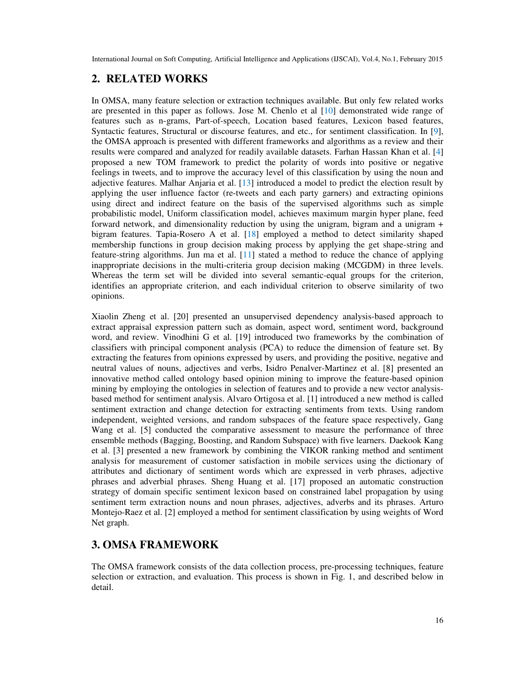# **2. RELATED WORKS**

In OMSA, many feature selection or extraction techniques available. But only few related works are presented in this paper as follows. Jose M. Chenlo et al [10] demonstrated wide range of features such as n-grams, Part-of-speech, Location based features, Lexicon based features, Syntactic features, Structural or discourse features, and etc., for sentiment classification. In [9], the OMSA approach is presented with different frameworks and algorithms as a review and their results were compared and analyzed for readily available datasets. Farhan Hassan Khan et al. [4] proposed a new TOM framework to predict the polarity of words into positive or negative feelings in tweets, and to improve the accuracy level of this classification by using the noun and adjective features. Malhar Anjaria et al. [13] introduced a model to predict the election result by applying the user influence factor (re-tweets and each party garners) and extracting opinions using direct and indirect feature on the basis of the supervised algorithms such as simple probabilistic model, Uniform classification model, achieves maximum margin hyper plane, feed forward network, and dimensionality reduction by using the unigram, bigram and a unigram + bigram features. Tapia-Rosero A et al. [18] employed a method to detect similarity shaped membership functions in group decision making process by applying the get shape-string and feature-string algorithms. Jun ma et al. [11] stated a method to reduce the chance of applying inappropriate decisions in the multi-criteria group decision making (MCGDM) in three levels. Whereas the term set will be divided into several semantic-equal groups for the criterion, identifies an appropriate criterion, and each individual criterion to observe similarity of two opinions.

Xiaolin Zheng et al. [20] presented an unsupervised dependency analysis-based approach to extract appraisal expression pattern such as domain, aspect word, sentiment word, background word, and review. Vinodhini G et al. [19] introduced two frameworks by the combination of classifiers with principal component analysis (PCA) to reduce the dimension of feature set. By extracting the features from opinions expressed by users, and providing the positive, negative and neutral values of nouns, adjectives and verbs, Isidro Penalver-Martinez et al. [8] presented an innovative method called ontology based opinion mining to improve the feature-based opinion mining by employing the ontologies in selection of features and to provide a new vector analysisbased method for sentiment analysis. Alvaro Ortigosa et al. [1] introduced a new method is called sentiment extraction and change detection for extracting sentiments from texts. Using random independent, weighted versions, and random subspaces of the feature space respectively, Gang Wang et al. [5] conducted the comparative assessment to measure the performance of three ensemble methods (Bagging, Boosting, and Random Subspace) with five learners. Daekook Kang et al. [3] presented a new framework by combining the VIKOR ranking method and sentiment analysis for measurement of customer satisfaction in mobile services using the dictionary of attributes and dictionary of sentiment words which are expressed in verb phrases, adjective phrases and adverbial phrases. Sheng Huang et al. [17] proposed an automatic construction strategy of domain specific sentiment lexicon based on constrained label propagation by using sentiment term extraction nouns and noun phrases, adjectives, adverbs and its phrases. Arturo Montejo-Raez et al. [2] employed a method for sentiment classification by using weights of Word Net graph.

# **3. OMSA FRAMEWORK**

The OMSA framework consists of the data collection process, pre-processing techniques, feature selection or extraction, and evaluation. This process is shown in Fig. 1, and described below in detail.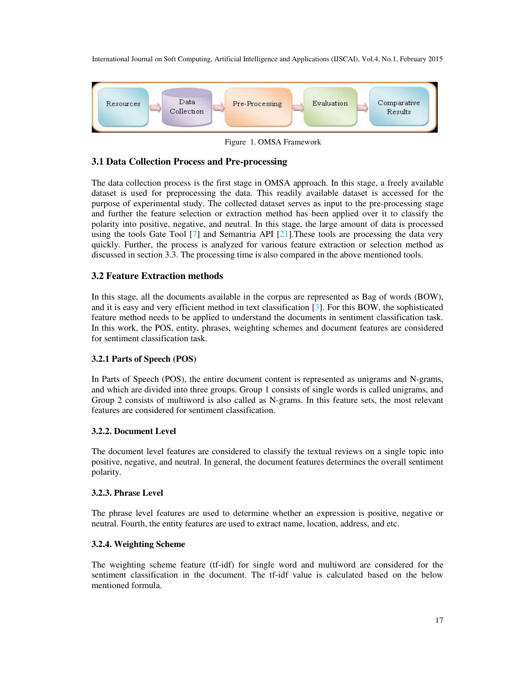

Figure 1. OMSA Framework

#### **3.1 Data Collection Process and Pre-processing**

The data collection process is the first stage in OMSA approach. In this stage, a freely available dataset is used for preprocessing the data. This readily available dataset is accessed for the purpose of experimental study. The collected dataset serves as input to the pre-processing stage and further the feature selection or extraction method has been applied over it to classify the polarity into positive, negative, and neutral. In this stage, the large amount of data is processed using the tools Gate Tool  $[7]$  and Semantria API  $[21]$ . These tools are processing the data very quickly. Further, the process is analyzed for various feature extraction or selection method as discussed in section 3.3. The processing time is also compared in the above mentioned tools.

#### **3.2 Feature Extraction methods**

In this stage, all the documents available in the corpus are represented as Bag of words (BOW), and it is easy and very efficient method in text classification [3]. For this BOW, the sophisticated feature method needs to be applied to understand the documents in sentiment classification task. In this work, the POS, entity, phrases, weighting schemes and document features are considered for sentiment classification task.

#### **3.2.1 Parts of Speech (POS)**

In Parts of Speech (POS), the entire document content is represented as unigrams and N-grams, and which are divided into three groups. Group 1 consists of single words is called unigrams, and Group 2 consists of multiword is also called as N-grams. In this feature sets, the most relevant features are considered for sentiment classification.

#### **3.2.2. Document Level**

The document level features are considered to classify the textual reviews on a single topic into positive, negative, and neutral. In general, the document features determines the overall sentiment polarity.

#### **3.2.3. Phrase Level**

The phrase level features are used to determine whether an expression is positive, negative or neutral. Fourth, the entity features are used to extract name, location, address, and etc.

#### **3.2.4. Weighting Scheme**

The weighting scheme feature (tf-idf) for single word and multiword are considered for the sentiment classification in the document. The tf-idf value is calculated based on the below mentioned formula.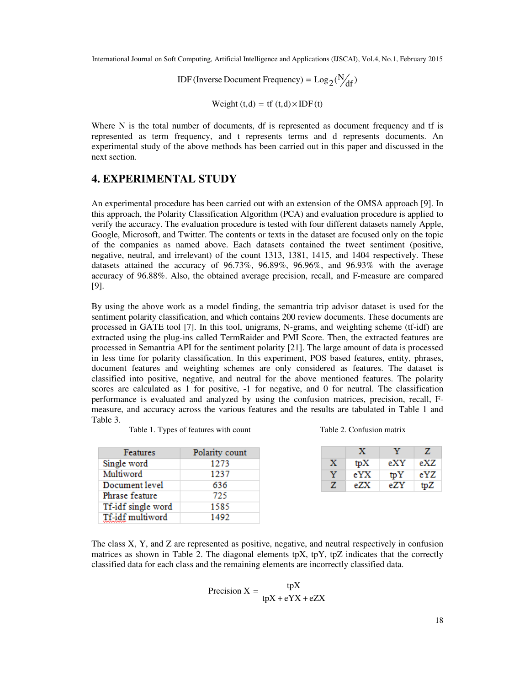IDF (Inverse Document Frequency) =  $Log_2(N_{\text{df}})$ 

Weight  $(t,d) = tf(t,d) \times IDF(t)$ 

Where N is the total number of documents, df is represented as document frequency and tf is represented as term frequency, and t represents terms and d represents documents. An experimental study of the above methods has been carried out in this paper and discussed in the next section.

### **4. EXPERIMENTAL STUDY**

An experimental procedure has been carried out with an extension of the OMSA approach [9]. In this approach, the Polarity Classification Algorithm (PCA) and evaluation procedure is applied to verify the accuracy. The evaluation procedure is tested with four different datasets namely Apple, Google, Microsoft, and Twitter. The contents or texts in the dataset are focused only on the topic of the companies as named above. Each datasets contained the tweet sentiment (positive, negative, neutral, and irrelevant) of the count 1313, 1381, 1415, and 1404 respectively. These datasets attained the accuracy of 96.73%, 96.89%, 96.96%, and 96.93% with the average accuracy of 96.88%. Also, the obtained average precision, recall, and F-measure are compared [9].

By using the above work as a model finding, the semantria trip advisor dataset is used for the sentiment polarity classification, and which contains 200 review documents. These documents are processed in GATE tool [7]. In this tool, unigrams, N-grams, and weighting scheme (tf-idf) are extracted using the plug-ins called TermRaider and PMI Score. Then, the extracted features are processed in Semantria API for the sentiment polarity [21]. The large amount of data is processed in less time for polarity classification. In this experiment, POS based features, entity, phrases, document features and weighting schemes are only considered as features. The dataset is classified into positive, negative, and neutral for the above mentioned features. The polarity scores are calculated as 1 for positive, -1 for negative, and 0 for neutral. The classification performance is evaluated and analyzed by using the confusion matrices, precision, recall, Fmeasure, and accuracy across the various features and the results are tabulated in Table 1 and Table 3.

Table 1. Types of features with count

| Features           | Polarity count |
|--------------------|----------------|
| Single word        | 1273           |
| Multiword          | 1237           |
| Document level     | 636            |
| Phrase feature     | 725            |
| Tf-idf single word | 1585           |
| Tf-idf multiword   | 1492           |

|   | X   | Y    | Z    |
|---|-----|------|------|
| х | tрX | eXY  | eXZ. |
| v | eYX | tpY  | eYZ. |
| Z | eZX | eZY. | tpZ  |

The class X, Y, and Z are represented as positive, negative, and neutral respectively in confusion matrices as shown in Table 2. The diagonal elements tpX, tpY, tpZ indicates that the correctly classified data for each class and the remaining elements are incorrectly classified data.

$$
Precision X = \frac{tpX}{tpX + eYX + eZX}
$$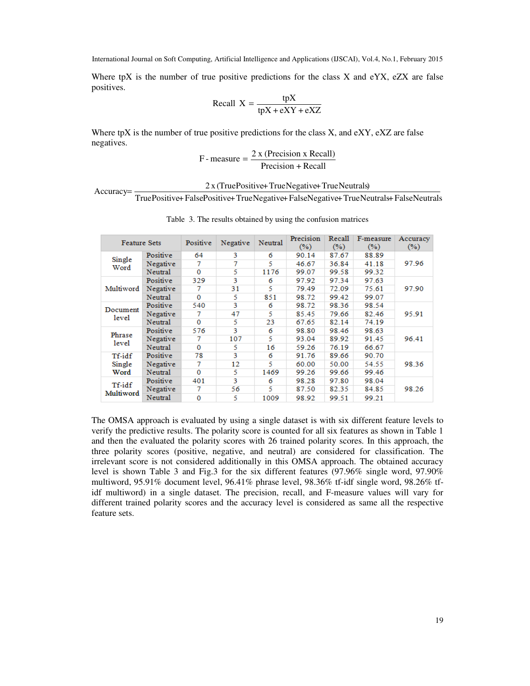Where tpX is the number of true positive predictions for the class  $X$  and  $eYX$ ,  $eZX$  are false positives.

$$
Recall X = \frac{\text{tpX}}{\text{tpX} + \text{eXY} + \text{eXZ}}
$$

Where tpX is the number of true positive predictions for the class  $X$ , and  $eXY$ ,  $eXZ$  are false negatives.

$$
F-measure = \frac{2 \times (Precision \times Recall)}{Precision + Recall}
$$

## 2 x (TruePositive+ TrueNegative+ TrueNeutrals)

TruePositive+FalsePositive+TrueNegative+FalseNegative+TrueNeutrals+FalseNeutrals Accuracy=

| <b>Feature Sets</b>      |                | Positive<br>Negative |     | Neutral | Precision | Recall | F-measure | Accuracy |
|--------------------------|----------------|----------------------|-----|---------|-----------|--------|-----------|----------|
|                          |                |                      |     |         | $(\%)$    | $(\%)$ | $(\%)$    | $(\%)$   |
| Single<br>Word           | Positive       | 64                   | 3   | 6       | 90.14     | 87.67  | 88.89     | 97.96    |
|                          | Negative       | 7                    | 7   | 5       | 46.67     | 36.84  | 41.18     |          |
|                          | Neutral        | 0                    | 5   | 1176    | 99.07     | 99.58  | 99.32     |          |
| Multiword                | Positive       | 329                  | 3   | 6       | 97.92     | 97.34  | 97.63     | 97.90    |
|                          | Negative       | 7                    | 31  | 5       | 79.49     | 72.09  | 75.61     |          |
|                          | Neutral        | $\Omega$             | 5   | 851     | 98.72     | 99.42  | 99.07     |          |
| Document<br>level        | Positive       | 540                  | 3   | 6       | 98.72     | 98.36  | 98.54     | 95.91    |
|                          | Negative       | 7                    | 47  | 5       | 85.45     | 79.66  | 82.46     |          |
|                          | Neutral        | 0                    | 5   | 23      | 67.65     | 82.14  | 74.19     |          |
| Phrase<br>level          | Positive       | 576                  | 3   | 6       | 98.80     | 98.46  | 98.63     | 96.41    |
|                          | Negative       | 7                    | 107 | 5       | 93.04     | 89.92  | 91.45     |          |
|                          | <b>Neutral</b> | 0                    | 5   | 16      | 59.26     | 76.19  | 66.67     |          |
| Tf-idf<br>Single<br>Word | Positive       | 78                   | 3   | 6       | 91.76     | 89.66  | 90.70     | 98.36    |
|                          | Negative       | 7                    | 12  | 5       | 60.00     | 50.00  | 54.55     |          |
|                          | Neutral        | $\Omega$             | 5   | 1469    | 99.26     | 99.66  | 99.46     |          |
| Tf-idf<br>Multiword      | Positive       | 401                  | 3   | 6       | 98.28     | 97.80  | 98.04     | 98.26    |
|                          | Negative       | 7                    | 56  | 5       | 87.50     | 82.35  | 84.85     |          |
|                          | Neutral        | 0                    | 5   | 1009    | 98.92     | 99.51  | 99.21     |          |

Table 3. The results obtained by using the confusion matrices

The OMSA approach is evaluated by using a single dataset is with six different feature levels to verify the predictive results. The polarity score is counted for all six features as shown in Table 1 and then the evaluated the polarity scores with 26 trained polarity scores. In this approach, the three polarity scores (positive, negative, and neutral) are considered for classification. The irrelevant score is not considered additionally in this OMSA approach. The obtained accuracy level is shown Table 3 and Fig.3 for the six different features (97.96% single word, 97.90% multiword, 95.91% document level, 96.41% phrase level, 98.36% tf-idf single word, 98.26% tfidf multiword) in a single dataset. The precision, recall, and F-measure values will vary for different trained polarity scores and the accuracy level is considered as same all the respective feature sets.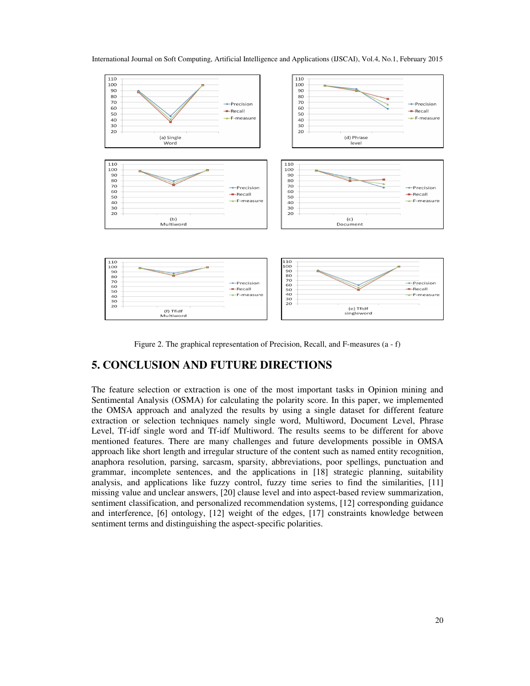

International Journal on Soft Computing, Artificial Intelligence and Applications (IJSCAI), Vol.4, No.1, February 2015

Figure 2. The graphical representation of Precision, Recall, and F-measures (a - f)

## **5. CONCLUSION AND FUTURE DIRECTIONS**

The feature selection or extraction is one of the most important tasks in Opinion mining and Sentimental Analysis (OSMA) for calculating the polarity score. In this paper, we implemented the OMSA approach and analyzed the results by using a single dataset for different feature extraction or selection techniques namely single word, Multiword, Document Level, Phrase Level, Tf-idf single word and Tf-idf Multiword. The results seems to be different for above mentioned features. There are many challenges and future developments possible in OMSA approach like short length and irregular structure of the content such as named entity recognition, anaphora resolution, parsing, sarcasm, sparsity, abbreviations, poor spellings, punctuation and grammar, incomplete sentences, and the applications in [18] strategic planning, suitability analysis, and applications like fuzzy control, fuzzy time series to find the similarities, [11] missing value and unclear answers, [20] clause level and into aspect-based review summarization, sentiment classification, and personalized recommendation systems, [12] corresponding guidance and interference, [6] ontology, [12] weight of the edges, [17] constraints knowledge between sentiment terms and distinguishing the aspect-specific polarities.